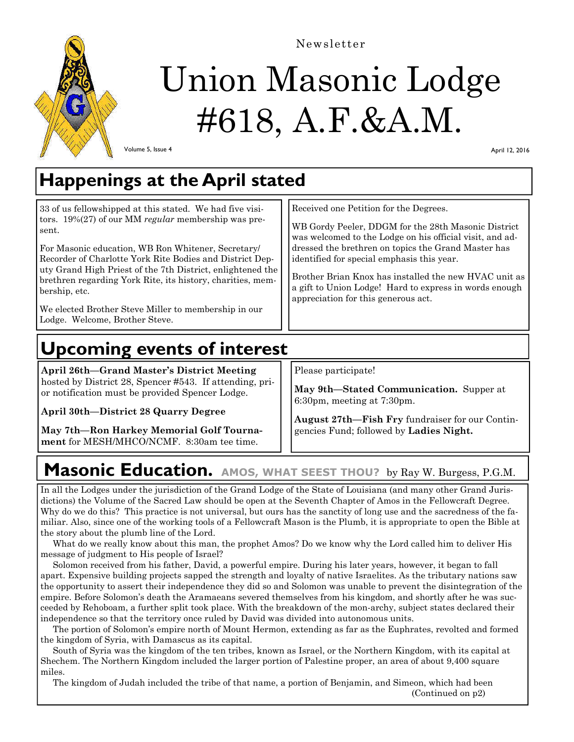

Newsletter

# Union Masonic Lodge #618, A.F.&A.M.

Volume 5, Issue 4

April 12, 2016

## **Happenings at the April stated**

| 33 of us fellowshipped at this stated. We had five visi-<br>tors. $19\%(27)$ of our MM regular membership was pre-<br>sent.<br>For Masonic education, WB Ron Whitener, Secretary/<br>Recorder of Charlotte York Rite Bodies and District Dep-<br>uty Grand High Priest of the 7th District, enlightened the<br>brethren regarding York Rite, its history, charities, mem-<br>bership, etc.<br>We elected Brother Steve Miller to membership in our<br>Lodge. Welcome, Brother Steve. | Received one Petition for the Degrees.<br>WB Gordy Peeler, DDGM for the 28th Masonic District<br>was welcomed to the Lodge on his official visit, and ad-<br>dressed the brethren on topics the Grand Master has<br>identified for special emphasis this year.<br>Brother Brian Knox has installed the new HVAC unit as<br>a gift to Union Lodge! Hard to express in words enough<br>appreciation for this generous act. |
|--------------------------------------------------------------------------------------------------------------------------------------------------------------------------------------------------------------------------------------------------------------------------------------------------------------------------------------------------------------------------------------------------------------------------------------------------------------------------------------|--------------------------------------------------------------------------------------------------------------------------------------------------------------------------------------------------------------------------------------------------------------------------------------------------------------------------------------------------------------------------------------------------------------------------|
|--------------------------------------------------------------------------------------------------------------------------------------------------------------------------------------------------------------------------------------------------------------------------------------------------------------------------------------------------------------------------------------------------------------------------------------------------------------------------------------|--------------------------------------------------------------------------------------------------------------------------------------------------------------------------------------------------------------------------------------------------------------------------------------------------------------------------------------------------------------------------------------------------------------------------|

# **Upcoming events of interest**

**April 26th—Grand Master's District Meeting**  hosted by District 28, Spencer #543. If attending, prior notification must be provided Spencer Lodge.

**April 30th—District 28 Quarry Degree** 

**May 7th—Ron Harkey Memorial Golf Tournament** for MESH/MHCO/NCMF. 8:30am tee time.

Please participate!

**May 9th—Stated Communication.** Supper at 6:30pm, meeting at 7:30pm.

**August 27th—Fish Fry** fundraiser for our Contingencies Fund; followed by **Ladies Night.** 

## **Masonic Education. AMOS, WHAT SEEST THOU?** by Ray W. Burgess, P.G.M.

In all the Lodges under the jurisdiction of the Grand Lodge of the State of Louisiana (and many other Grand Jurisdictions) the Volume of the Sacred Law should be open at the Seventh Chapter of Amos in the Fellowcraft Degree. Why do we do this? This practice is not universal, but ours has the sanctity of long use and the sacredness of the familiar. Also, since one of the working tools of a Fellowcraft Mason is the Plumb, it is appropriate to open the Bible at the story about the plumb line of the Lord.

 What do we really know about this man, the prophet Amos? Do we know why the Lord called him to deliver His message of judgment to His people of Israel?

 Solomon received from his father, David, a powerful empire. During his later years, however, it began to fall apart. Expensive building projects sapped the strength and loyalty of native Israelites. As the tributary nations saw the opportunity to assert their independence they did so and Solomon was unable to prevent the disintegration of the empire. Before Solomon's death the Aramaeans severed themselves from his kingdom, and shortly after he was succeeded by Rehoboam, a further split took place. With the breakdown of the mon-archy, subject states declared their independence so that the territory once ruled by David was divided into autonomous units.

 The portion of Solomon's empire north of Mount Hermon, extending as far as the Euphrates, revolted and formed the kingdom of Syria, with Damascus as its capital.

 South of Syria was the kingdom of the ten tribes, known as Israel, or the Northern Kingdom, with its capital at Shechem. The Northern Kingdom included the larger portion of Palestine proper, an area of about 9,400 square miles.

 The kingdom of Judah included the tribe of that name, a portion of Benjamin, and Simeon, which had been (Continued on p2)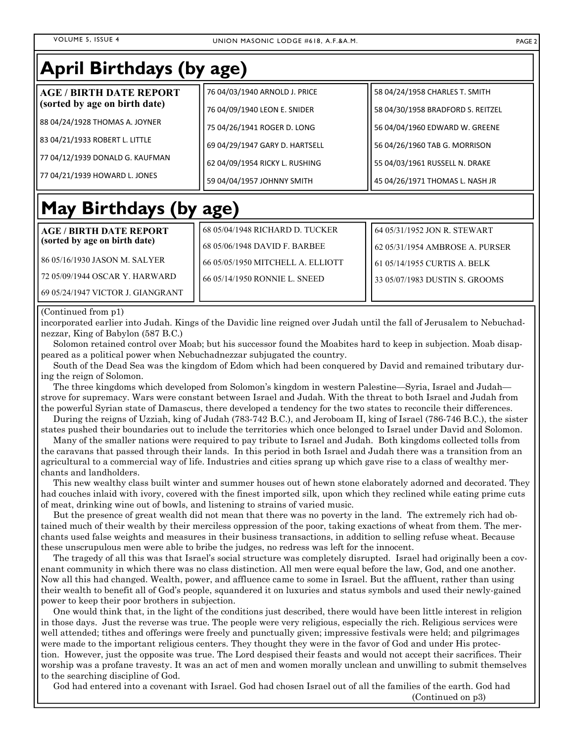#### VOLUME 5, ISSUE 4 UNION MASONIC LODGE #618, A.F.&A.M. PAGE 2

| <b>April Birthdays (by age)</b>                                 |                                   |                                   |
|-----------------------------------------------------------------|-----------------------------------|-----------------------------------|
| <b>AGE / BIRTH DATE REPORT</b>                                  | 76 04/03/1940 ARNOLD J. PRICE     | 58 04/24/1958 CHARLES T. SMITH    |
| (sorted by age on birth date)                                   | 76 04/09/1940 LEON E. SNIDER      | 58 04/30/1958 BRADFORD S. REITZEL |
| 88 04/24/1928 THOMAS A. JOYNER                                  | 75 04/26/1941 ROGER D. LONG       | 56 04/04/1960 EDWARD W. GREENE    |
| 83 04/21/1933 ROBERT L. LITTLE                                  | 69 04/29/1947 GARY D. HARTSELL    | 56 04/26/1960 TAB G. MORRISON     |
| 77 04/12/1939 DONALD G. KAUFMAN                                 | 62 04/09/1954 RICKY L. RUSHING    | 55 04/03/1961 RUSSELL N. DRAKE    |
| 77 04/21/1939 HOWARD L. JONES                                   | 59 04/04/1957 JOHNNY SMITH        | 45 04/26/1971 THOMAS L. NASH JR   |
| May Birthdays (by age)                                          |                                   |                                   |
| <b>AGE / BIRTH DATE REPORT</b><br>(sorted by age on birth date) | 68 05/04/1948 RICHARD D. TUCKER   | 64 05/31/1952 JON R. STEWART      |
|                                                                 | 68 05/06/1948 DAVID F. BARBEE     | 62 05/31/1954 AMBROSE A. PURSER   |
| 86 05/16/1930 JASON M. SALYER                                   | 66 05/05/1950 MITCHELL A. ELLIOTT | 61 05/14/1955 CURTIS A. BELK      |

72 05/09/1944 OSCAR Y. HARWARD

69 05/24/1947 VICTOR J. GIANGRANT

#### (Continued from p1)

incorporated earlier into Judah. Kings of the Davidic line reigned over Judah until the fall of Jerusalem to Nebuchadnezzar, King of Babylon (587 B.C.)

66 05/14/1950 RONNIE L. SNEED

 Solomon retained control over Moab; but his successor found the Moabites hard to keep in subjection. Moab disappeared as a political power when Nebuchadnezzar subjugated the country.

 South of the Dead Sea was the kingdom of Edom which had been conquered by David and remained tributary during the reign of Solomon.

 The three kingdoms which developed from Solomon's kingdom in western Palestine—Syria, Israel and Judah strove for supremacy. Wars were constant between Israel and Judah. With the threat to both Israel and Judah from the powerful Syrian state of Damascus, there developed a tendency for the two states to reconcile their differences.

 During the reigns of Uzziah, king of Judah (783-742 B.C.), and Jeroboam II, king of Israel (786-746 B.C.), the sister states pushed their boundaries out to include the territories which once belonged to Israel under David and Solomon.

 Many of the smaller nations were required to pay tribute to Israel and Judah. Both kingdoms collected tolls from the caravans that passed through their lands. In this period in both Israel and Judah there was a transition from an agricultural to a commercial way of life. Industries and cities sprang up which gave rise to a class of wealthy merchants and landholders.

 This new wealthy class built winter and summer houses out of hewn stone elaborately adorned and decorated. They had couches inlaid with ivory, covered with the finest imported silk, upon which they reclined while eating prime cuts of meat, drinking wine out of bowls, and listening to strains of varied music.

 But the presence of great wealth did not mean that there was no poverty in the land. The extremely rich had obtained much of their wealth by their merciless oppression of the poor, taking exactions of wheat from them. The merchants used false weights and measures in their business transactions, in addition to selling refuse wheat. Because these unscrupulous men were able to bribe the judges, no redress was left for the innocent.

 The tragedy of all this was that Israel's social structure was completely disrupted. Israel had originally been a covenant community in which there was no class distinction. All men were equal before the law, God, and one another. Now all this had changed. Wealth, power, and affluence came to some in Israel. But the affluent, rather than using their wealth to benefit all of God's people, squandered it on luxuries and status symbols and used their newly-gained power to keep their poor brothers in subjection.

 One would think that, in the light of the conditions just described, there would have been little interest in religion in those days. Just the reverse was true. The people were very religious, especially the rich. Religious services were well attended; tithes and offerings were freely and punctually given; impressive festivals were held; and pilgrimages were made to the important religious centers. They thought they were in the favor of God and under His protection. However, just the opposite was true. The Lord despised their feasts and would not accept their sacrifices. Their worship was a profane travesty. It was an act of men and women morally unclean and unwilling to submit themselves to the searching discipline of God.

God had entered into a covenant with Israel. God had chosen Israel out of all the families of the earth. God had

(Continued on p3)

33 05/07/1983 DUSTIN S. GROOMS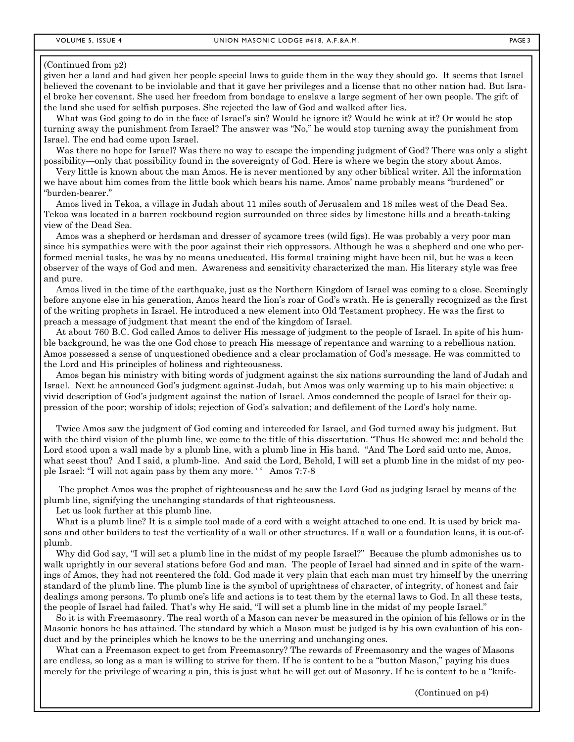#### (Continued from p2)

given her a land and had given her people special laws to guide them in the way they should go. It seems that Israel believed the covenant to be inviolable and that it gave her privileges and a license that no other nation had. But Israel broke her covenant. She used her freedom from bondage to enslave a large segment of her own people. The gift of the land she used for selfish purposes. She rejected the law of God and walked after lies.

 What was God going to do in the face of Israel's sin? Would he ignore it? Would he wink at it? Or would he stop turning away the punishment from Israel? The answer was "No," he would stop turning away the punishment from Israel. The end had come upon Israel.

Was there no hope for Israel? Was there no way to escape the impending judgment of God? There was only a slight possibility—only that possibility found in the sovereignty of God. Here is where we begin the story about Amos.

 Very little is known about the man Amos. He is never mentioned by any other biblical writer. All the information we have about him comes from the little book which bears his name. Amos' name probably means "burdened" or "burden-bearer."

 Amos lived in Tekoa, a village in Judah about 11 miles south of Jerusalem and 18 miles west of the Dead Sea. Tekoa was located in a barren rockbound region surrounded on three sides by limestone hills and a breath-taking view of the Dead Sea.

 Amos was a shepherd or herdsman and dresser of sycamore trees (wild figs). He was probably a very poor man since his sympathies were with the poor against their rich oppressors. Although he was a shepherd and one who performed menial tasks, he was by no means uneducated. His formal training might have been nil, but he was a keen observer of the ways of God and men. Awareness and sensitivity characterized the man. His literary style was free and pure.

 Amos lived in the time of the earthquake, just as the Northern Kingdom of Israel was coming to a close. Seemingly before anyone else in his generation, Amos heard the lion's roar of God's wrath. He is generally recognized as the first of the writing prophets in Israel. He introduced a new element into Old Testament prophecy. He was the first to preach a message of judgment that meant the end of the kingdom of Israel.

 At about 760 B.C. God called Amos to deliver His message of judgment to the people of Israel. In spite of his humble background, he was the one God chose to preach His message of repentance and warning to a rebellious nation. Amos possessed a sense of unquestioned obedience and a clear proclamation of God's message. He was committed to the Lord and His principles of holiness and righteousness.

 Amos began his ministry with biting words of judgment against the six nations surrounding the land of Judah and Israel. Next he announced God's judgment against Judah, but Amos was only warming up to his main objective: a vivid description of God's judgment against the nation of Israel. Amos condemned the people of Israel for their oppression of the poor; worship of idols; rejection of God's salvation; and defilement of the Lord's holy name.

 Twice Amos saw the judgment of God coming and interceded for Israel, and God turned away his judgment. But with the third vision of the plumb line, we come to the title of this dissertation. "Thus He showed me: and behold the Lord stood upon a wall made by a plumb line, with a plumb line in His hand. "And The Lord said unto me, Amos, what seest thou? And I said, a plumb-line. And said the Lord, Behold, I will set a plumb line in the midst of my people Israel: "I will not again pass by them any more. '' Amos 7:7-8

 The prophet Amos was the prophet of righteousness and he saw the Lord God as judging Israel by means of the plumb line, signifying the unchanging standards of that righteousness.

Let us look further at this plumb line.

What is a plumb line? It is a simple tool made of a cord with a weight attached to one end. It is used by brick masons and other builders to test the verticality of a wall or other structures. If a wall or a foundation leans, it is out-ofplumb.

 Why did God say, "I will set a plumb line in the midst of my people Israel?" Because the plumb admonishes us to walk uprightly in our several stations before God and man. The people of Israel had sinned and in spite of the warnings of Amos, they had not reentered the fold. God made it very plain that each man must try himself by the unerring standard of the plumb line. The plumb line is the symbol of uprightness of character, of integrity, of honest and fair dealings among persons. To plumb one's life and actions is to test them by the eternal laws to God. In all these tests, the people of Israel had failed. That's why He said, "I will set a plumb line in the midst of my people Israel."

 So it is with Freemasonry. The real worth of a Mason can never be measured in the opinion of his fellows or in the Masonic honors he has attained. The standard by which a Mason must be judged is by his own evaluation of his conduct and by the principles which he knows to be the unerring and unchanging ones.

 What can a Freemason expect to get from Freemasonry? The rewards of Freemasonry and the wages of Masons are endless, so long as a man is willing to strive for them. If he is content to be a "button Mason," paying his dues merely for the privilege of wearing a pin, this is just what he will get out of Masonry. If he is content to be a "knife-

(Continued on p4)